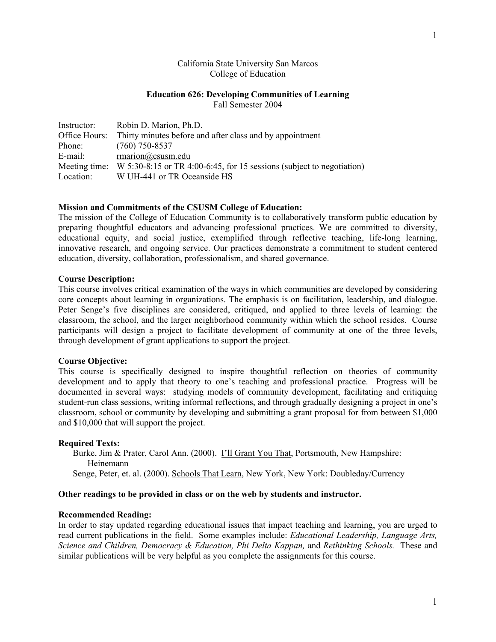## California State University San Marcos College of Education

#### **Education 626: Developing Communities of Learning**  Fall Semester 2004

| Instructor:   | Robin D. Marion, Ph.D.                                                 |
|---------------|------------------------------------------------------------------------|
|               | Office Hours: Thirty minutes before and after class and by appointment |
| Phone:        | $(760)$ 750-8537                                                       |
| E-mail:       | rmarion@csusm.edu                                                      |
| Meeting time: | W 5:30-8:15 or TR 4:00-6:45, for 15 sessions (subject to negotiation)  |
| Location:     | W UH-441 or TR Oceanside HS                                            |

## **Mission and Commitments of the CSUSM College of Education:**

The mission of the College of Education Community is to collaboratively transform public education by preparing thoughtful educators and advancing professional practices. We are committed to diversity, educational equity, and social justice, exemplified through reflective teaching, life-long learning, innovative research, and ongoing service. Our practices demonstrate a commitment to student centered education, diversity, collaboration, professionalism, and shared governance.

## **Course Description:**

This course involves critical examination of the ways in which communities are developed by considering core concepts about learning in organizations. The emphasis is on facilitation, leadership, and dialogue. Peter Senge's five disciplines are considered, critiqued, and applied to three levels of learning: the classroom, the school, and the larger neighborhood community within which the school resides. Course participants will design a project to facilitate development of community at one of the three levels, through development of grant applications to support the project.

## **Course Objective:**

This course is specifically designed to inspire thoughtful reflection on theories of community development and to apply that theory to one's teaching and professional practice. Progress will be documented in several ways: studying models of community development, facilitating and critiquing student-run class sessions, writing informal reflections, and through gradually designing a project in one's classroom, school or community by developing and submitting a grant proposal for from between \$1,000 and \$10,000 that will support the project.

## **Required Texts:**

Burke, Jim & Prater, Carol Ann. (2000). I'll Grant You That, Portsmouth, New Hampshire: Heinemann Senge, Peter, et. al. (2000). Schools That Learn, New York, New York: Doubleday/Currency

## **Other readings to be provided in class or on the web by students and instructor.**

#### **Recommended Reading:**

In order to stay updated regarding educational issues that impact teaching and learning, you are urged to read current publications in the field. Some examples include: *Educational Leadership, Language Arts, Science and Children, Democracy & Education, Phi Delta Kappan,* and *Rethinking Schools.* These and similar publications will be very helpful as you complete the assignments for this course.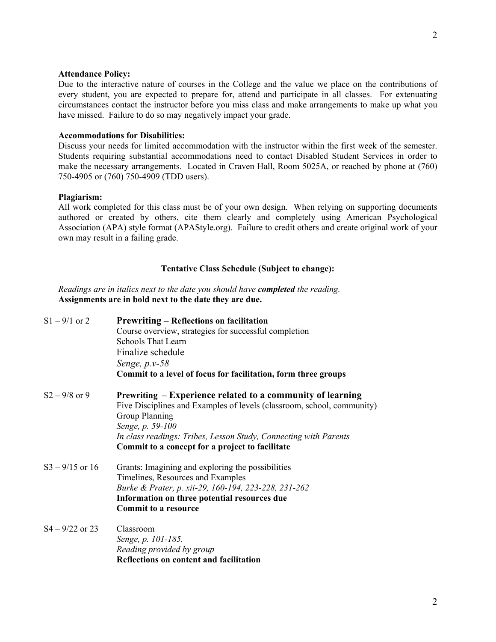## **Attendance Policy:**

Due to the interactive nature of courses in the College and the value we place on the contributions of every student, you are expected to prepare for, attend and participate in all classes. For extenuating circumstances contact the instructor before you miss class and make arrangements to make up what you have missed. Failure to do so may negatively impact your grade.

# **Accommodations for Disabilities:**

Discuss your needs for limited accommodation with the instructor within the first week of the semester. Students requiring substantial accommodations need to contact Disabled Student Services in order to make the necessary arrangements. Located in Craven Hall, Room 5025A, or reached by phone at (760) 750-4905 or (760) 750-4909 (TDD users).

# **Plagiarism:**

All work completed for this class must be of your own design. When relying on supporting documents authored or created by others, cite them clearly and completely using American Psychological Association (APA) style format (APAStyle.org). Failure to credit others and create original work of your own may result in a failing grade.

## **Tentative Class Schedule (Subject to change):**

*Readings are in italics next to the date you should have completed the reading.* **Assignments are in bold next to the date they are due.** 

| $S1 - 9/1$ or 2   | <b>Prewriting – Reflections on facilitation</b><br>Course overview, strategies for successful completion<br>Schools That Learn<br>Finalize schedule<br>Senge, $p.v-58$<br>Commit to a level of focus for facilitation, form three groups                                                                 |
|-------------------|----------------------------------------------------------------------------------------------------------------------------------------------------------------------------------------------------------------------------------------------------------------------------------------------------------|
| $S_2 - 9/8$ or 9  | Prewriting – Experience related to a community of learning<br>Five Disciplines and Examples of levels (classroom, school, community)<br><b>Group Planning</b><br>Senge, p. 59-100<br>In class readings: Tribes, Lesson Study, Connecting with Parents<br>Commit to a concept for a project to facilitate |
| $S3 - 9/15$ or 16 | Grants: Imagining and exploring the possibilities<br>Timelines, Resources and Examples<br>Burke & Prater, p. xii-29, 160-194, 223-228, 231-262<br>Information on three potential resources due<br><b>Commit to a resource</b>                                                                            |
| $S4 - 9/22$ or 23 | Classroom<br>Senge, p. 101-185.<br>Reading provided by group<br>Reflections on content and facilitation                                                                                                                                                                                                  |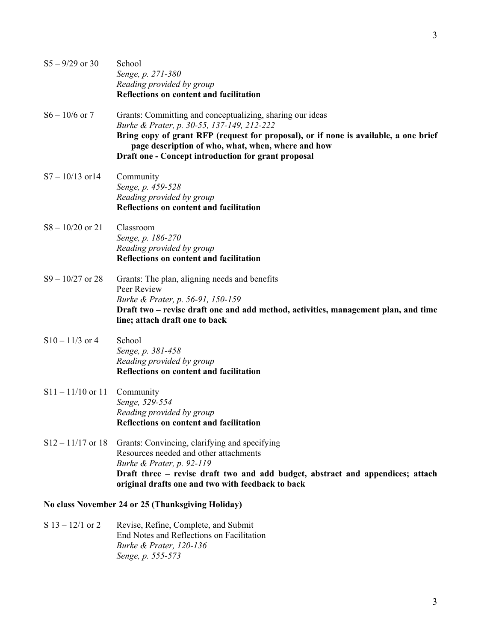| $S_5 - 9/29$ or 30  | School<br>Senge, p. 271-380<br>Reading provided by group<br><b>Reflections on content and facilitation</b>                                                                                                                                                                                                   |
|---------------------|--------------------------------------------------------------------------------------------------------------------------------------------------------------------------------------------------------------------------------------------------------------------------------------------------------------|
| $S_6 - 10/6$ or 7   | Grants: Committing and conceptualizing, sharing our ideas<br>Burke & Prater, p. 30-55, 137-149, 212-222<br>Bring copy of grant RFP (request for proposal), or if none is available, a one brief<br>page description of who, what, when, where and how<br>Draft one - Concept introduction for grant proposal |
| $S7 - 10/13$ or 14  | Community<br>Senge, p. 459-528<br>Reading provided by group<br><b>Reflections on content and facilitation</b>                                                                                                                                                                                                |
| $S_8 - 10/20$ or 21 | Classroom<br>Senge, p. 186-270<br>Reading provided by group<br><b>Reflections on content and facilitation</b>                                                                                                                                                                                                |
| $S9 - 10/27$ or 28  | Grants: The plan, aligning needs and benefits<br>Peer Review<br>Burke & Prater, p. 56-91, 150-159<br>Draft two – revise draft one and add method, activities, management plan, and time<br>line; attach draft one to back                                                                                    |
| $S10 - 11/3$ or 4   | School<br>Senge, p. 381-458<br>Reading provided by group<br><b>Reflections on content and facilitation</b>                                                                                                                                                                                                   |
| $S11 - 11/10$ or 11 | Community<br>Senge, 529-554<br>Reading provided by group<br>Reflections on content and facilitation                                                                                                                                                                                                          |
| $S12 - 11/17$ or 18 | Grants: Convincing, clarifying and specifying<br>Resources needed and other attachments<br>Burke & Prater, p. 92-119<br>Draft three – revise draft two and add budget, abstract and appendices; attach<br>original drafts one and two with feedback to back                                                  |
|                     | No class November 24 or 25 (Thanksgiving Holiday)                                                                                                                                                                                                                                                            |
|                     | $\mathcal{C}$ 12 12/1 or 2 Dovice Doting Complete and Submit                                                                                                                                                                                                                                                 |

S 13 – 12/1 or 2 Revise, Refine, Complete, and Submit End Notes and Reflections on Facilitation *Burke & Prater, 120-136 Senge, p. 555-573* 

3